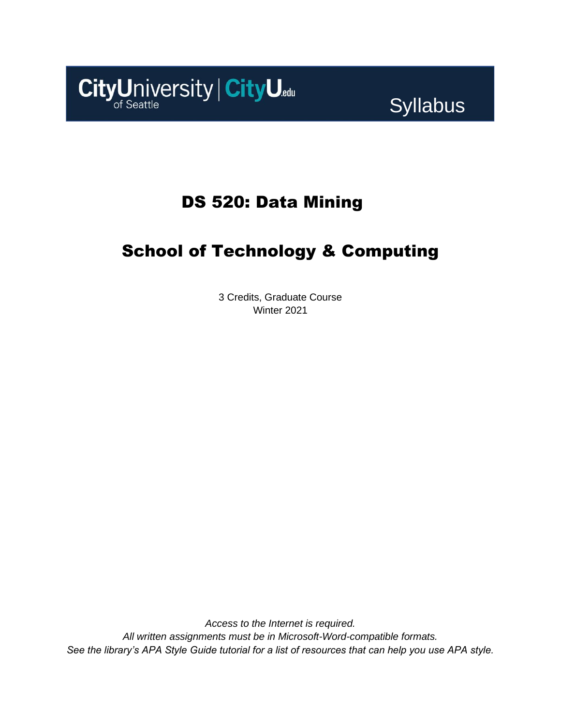

# Syllabus

# DS 520: Data Mining

# School of Technology & Computing

3 Credits, Graduate Course Winter 2021

*Access to the Internet is required. All written assignments must be in Microsoft-Word-compatible formats. See the library's APA Style Guide tutorial for a list of resources that can help you use APA style.*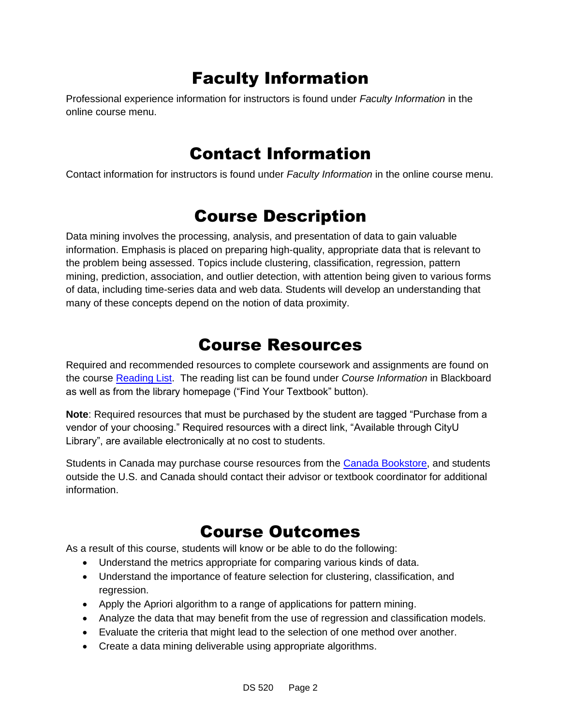# Faculty Information

Professional experience information for instructors is found under *Faculty Information* in the online course menu.

### Contact Information

Contact information for instructors is found under *Faculty Information* in the online course menu.

## Course Description

Data mining involves the processing, analysis, and presentation of data to gain valuable information. Emphasis is placed on preparing high-quality, appropriate data that is relevant to the problem being assessed. Topics include clustering, classification, regression, pattern mining, prediction, association, and outlier detection, with attention being given to various forms of data, including time-series data and web data. Students will develop an understanding that many of these concepts depend on the notion of data proximity.

### Course Resources

Required and recommended resources to complete coursework and assignments are found on the course [Reading List.](https://cityu.alma.exlibrisgroup.com/leganto/login?auth=SAML) The reading list can be found under *Course Information* in Blackboard as well as from the library homepage ("Find Your Textbook" button).

**Note**: Required resources that must be purchased by the student are tagged "Purchase from a vendor of your choosing." Required resources with a direct link, "Available through CityU Library", are available electronically at no cost to students.

Students in Canada may purchase course resources from the [Canada Bookstore,](https://www.cityubookstore.ca/index.asp) and students outside the U.S. and Canada should contact their advisor or textbook coordinator for additional information.

## Course Outcomes

As a result of this course, students will know or be able to do the following:

- Understand the metrics appropriate for comparing various kinds of data.
- Understand the importance of feature selection for clustering, classification, and regression.
- Apply the Apriori algorithm to a range of applications for pattern mining.
- Analyze the data that may benefit from the use of regression and classification models.
- Evaluate the criteria that might lead to the selection of one method over another.
- Create a data mining deliverable using appropriate algorithms.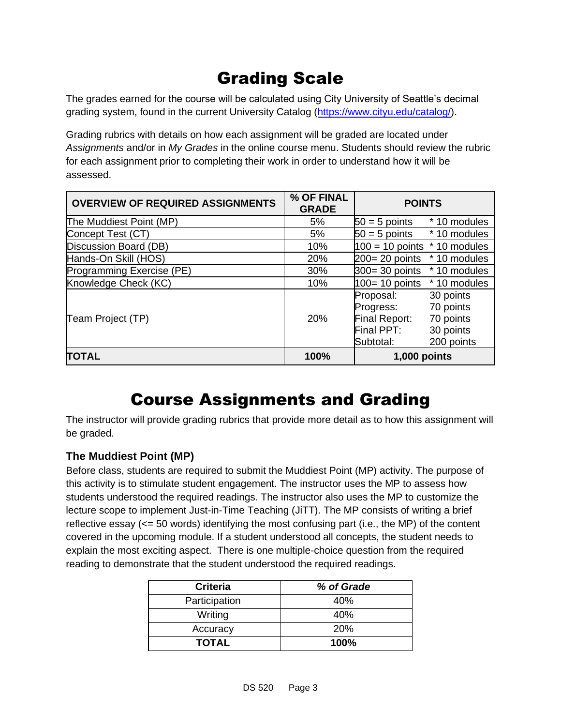# Grading Scale

The grades earned for the course will be calculated using City University of Seattle's decimal grading system, found in the current University Catalog [\(https://www.cityu.edu/catalog/\)](https://www.cityu.edu/catalog/).

Grading rubrics with details on how each assignment will be graded are located under *Assignments* and/or in *My Grades* in the online course menu. Students should review the rubric for each assignment prior to completing their work in order to understand how it will be assessed.

| <b>OVERVIEW OF REQUIRED ASSIGNMENTS</b> | % OF FINAL<br><b>GRADE</b> | <b>POINTS</b>                                                                                                                        |
|-----------------------------------------|----------------------------|--------------------------------------------------------------------------------------------------------------------------------------|
| The Muddiest Point (MP)                 | 5%                         | $50 = 5$ points<br>* 10 modules                                                                                                      |
| Concept Test (CT)                       | 5%                         | $50 = 5$ points $*10$ modules                                                                                                        |
| Discussion Board (DB)                   | 10%                        | $100 = 10$ points $*$ 10 modules                                                                                                     |
| Hands-On Skill (HOS)                    | 20%                        | $200 = 20$ points<br>* 10 modules                                                                                                    |
| Programming Exercise (PE)               | 30%                        | $300 = 30$ points $*10$ modules                                                                                                      |
| Knowledge Check (KC)                    | 10%                        | $100 = 10$ points $*10$ modules                                                                                                      |
| Team Project (TP)                       | <b>20%</b>                 | 30 points<br>Proposal:<br>70 points<br>Progress:<br>Final Report:<br>70 points<br>Final PPT:<br>30 points<br>200 points<br>Subtotal: |
| <b>TOTAL</b>                            | 100%                       | 1,000 points                                                                                                                         |

## Course Assignments and Grading

The instructor will provide grading rubrics that provide more detail as to how this assignment will be graded.

#### **The Muddiest Point (MP)**

Before class, students are required to submit the Muddiest Point (MP) activity. The purpose of this activity is to stimulate student engagement. The instructor uses the MP to assess how students understood the required readings. The instructor also uses the MP to customize the lecture scope to implement Just-in-Time Teaching (JiTT). The MP consists of writing a brief reflective essay (<= 50 words) identifying the most confusing part (i.e., the MP) of the content covered in the upcoming module. If a student understood all concepts, the student needs to explain the most exciting aspect. There is one multiple-choice question from the required reading to demonstrate that the student understood the required readings.

| <b>Criteria</b> | % of Grade |
|-----------------|------------|
| Participation   | 40%        |
| Writing         | 40%        |
| Accuracy        | 20%        |
| <b>TOTAL</b>    | 100%       |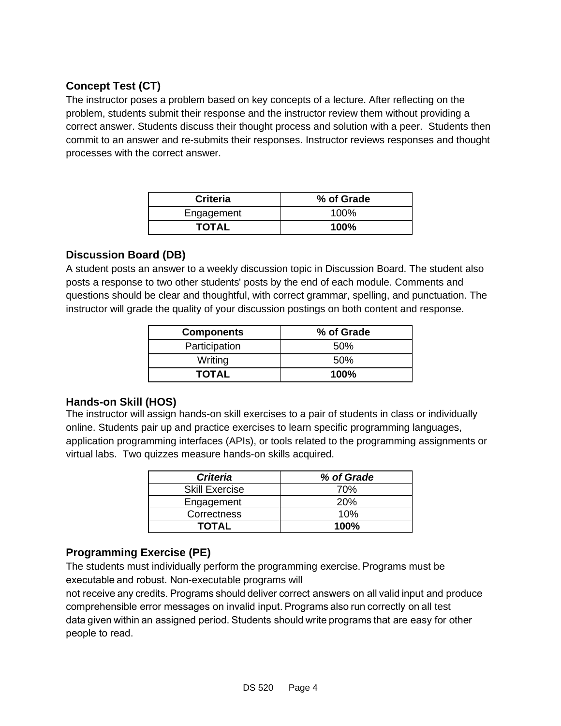#### **Concept Test (CT)**

The instructor poses a problem based on key concepts of a lecture. After reflecting on the problem, students submit their response and the instructor review them without providing a correct answer. Students discuss their thought process and solution with a peer. Students then commit to an answer and re-submits their responses. Instructor reviews responses and thought processes with the correct answer.

| <b>Criteria</b> | % of Grade  |
|-----------------|-------------|
| Engagement      | $100\%$     |
| <b>TOTAL</b>    | <b>100%</b> |

#### **Discussion Board (DB)**

A student posts an answer to a weekly discussion topic in Discussion Board. The student also posts a response to two other students' posts by the end of each module. Comments and questions should be clear and thoughtful, with correct grammar, spelling, and punctuation. The instructor will grade the quality of your discussion postings on both content and response.

| <b>Components</b> | % of Grade |
|-------------------|------------|
| Participation     | .50%       |
| Writing           | .50%       |
| <b>TOTAL</b>      | $100\%$    |

#### **Hands-on Skill (HOS)**

The instructor will assign hands-on skill exercises to a pair of students in class or individually online. Students pair up and practice exercises to learn specific programming languages, application programming interfaces (APIs), or tools related to the programming assignments or virtual labs. Two quizzes measure hands-on skills acquired.

| <b>Criteria</b>       | % of Grade |
|-----------------------|------------|
| <b>Skill Exercise</b> | 70%        |
| Engagement            | 20%        |
| Correctness           | 10%        |
| <b>TOTAL</b>          | $100\%$    |

### **Programming Exercise (PE)**

The students must individually perform the programming exercise. Programs must be executable and robust. Non-executable programs will

not receive any credits. Programs should deliver correct answers on all valid input and produce comprehensible error messages on invalid input. Programs also run correctly on all test data given within an assigned period. Students should write programs that are easy for other people to read.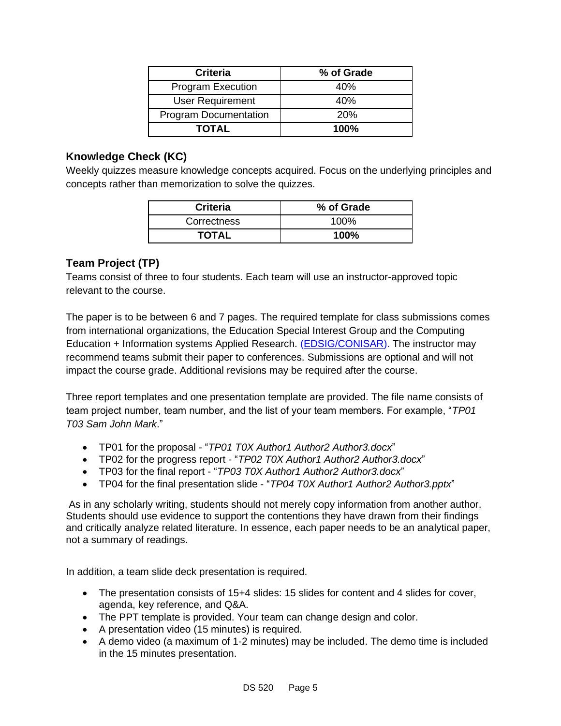| <b>Criteria</b>              | % of Grade |
|------------------------------|------------|
| <b>Program Execution</b>     | 40%        |
| <b>User Requirement</b>      | 40%        |
| <b>Program Documentation</b> | 20%        |
| <b>TOTAL</b>                 | $100\%$    |

#### **Knowledge Check (KC)**

Weekly quizzes measure knowledge concepts acquired. Focus on the underlying principles and concepts rather than memorization to solve the quizzes.

| <b>Criteria</b> | % of Grade |
|-----------------|------------|
| Correctness     | 100%       |
| <b>TOTAL</b>    | 100%       |

#### **Team Project (TP)**

Teams consist of three to four students. Each team will use an instructor-approved topic relevant to the course.

The paper is to be between 6 and 7 pages. The required template for class submissions comes from international organizations, the Education Special Interest Group and the Computing Education + Information systems Applied Research. [\(EDSIG/CONISAR\)](https://edsig.org/). The instructor may recommend teams submit their paper to conferences. Submissions are optional and will not impact the course grade. Additional revisions may be required after the course.

Three report templates and one presentation template are provided. The file name consists of team project number, team number, and the list of your team members. For example, "*TP01 T03 Sam John Mark*."

- TP01 for the proposal "*TP01 T0X Author1 Author2 Author3.docx*"
- TP02 for the progress report "*TP02 T0X Author1 Author2 Author3.docx*"
- TP03 for the final report "*TP03 T0X Author1 Author2 Author3.docx*"
- TP04 for the final presentation slide "*TP04 T0X Author1 Author2 Author3.pptx*"

As in any scholarly writing, students should not merely copy information from another author. Students should use evidence to support the contentions they have drawn from their findings and critically analyze related literature. In essence, each paper needs to be an analytical paper, not a summary of readings.

In addition, a team slide deck presentation is required.

- The presentation consists of 15+4 slides: 15 slides for content and 4 slides for cover, agenda, key reference, and Q&A.
- The PPT template is provided. Your team can change design and color.
- A presentation video (15 minutes) is required.
- A demo video (a maximum of 1-2 minutes) may be included. The demo time is included in the 15 minutes presentation.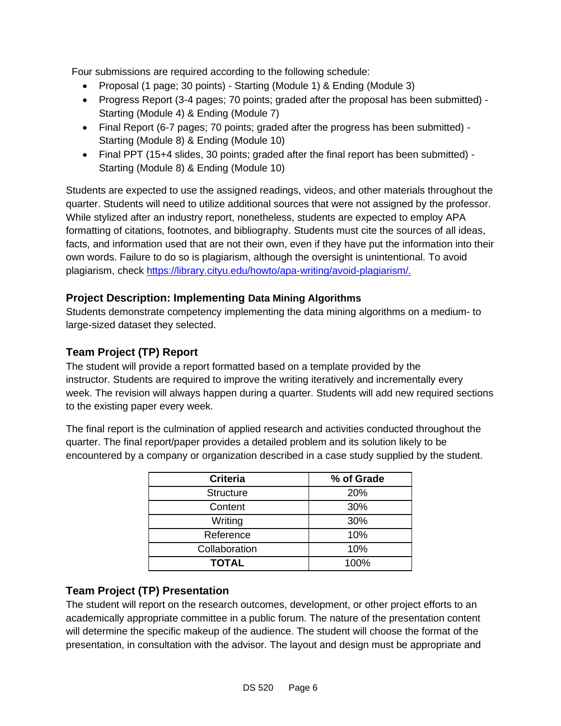Four submissions are required according to the following schedule:

- Proposal (1 page; 30 points) Starting (Module 1) & Ending (Module 3)
- Progress Report (3-4 pages; 70 points; graded after the proposal has been submitted) Starting (Module 4) & Ending (Module 7)
- Final Report (6-7 pages; 70 points; graded after the progress has been submitted) Starting (Module 8) & Ending (Module 10)
- Final PPT (15+4 slides, 30 points; graded after the final report has been submitted) Starting (Module 8) & Ending (Module 10)

Students are expected to use the assigned readings, videos, and other materials throughout the quarter. Students will need to utilize additional sources that were not assigned by the professor. While stylized after an industry report, nonetheless, students are expected to employ APA formatting of citations, footnotes, and bibliography. Students must cite the sources of all ideas, facts, and information used that are not their own, even if they have put the information into their own words. Failure to do so is plagiarism, although the oversight is unintentional. To avoid plagiarism, check [https://library.cityu.edu/howto/apa-writing/avoid-plagiarism/.](https://library.cityu.edu/howto/apa-writing/avoid-plagiarism/)

#### **Project Description: Implementing Data Mining Algorithms**

Students demonstrate competency implementing the data mining algorithms on a medium- to large-sized dataset they selected.

#### **Team Project (TP) Report**

The student will provide a report formatted based on a template provided by the instructor. Students are required to improve the writing iteratively and incrementally every week. The revision will always happen during a quarter. Students will add new required sections to the existing paper every week.

The final report is the culmination of applied research and activities conducted throughout the quarter. The final report/paper provides a detailed problem and its solution likely to be encountered by a company or organization described in a case study supplied by the student.

| <b>Criteria</b>  | % of Grade |
|------------------|------------|
| <b>Structure</b> | 20%        |
| Content          | 30%        |
| Writing          | 30%        |
| Reference        | 10%        |
| Collaboration    | 10%        |
| <b>TOTAL</b>     | 100%       |

#### **Team Project (TP) Presentation**

The student will report on the research outcomes, development, or other project efforts to an academically appropriate committee in a public forum. The nature of the presentation content will determine the specific makeup of the audience. The student will choose the format of the presentation, in consultation with the advisor. The layout and design must be appropriate and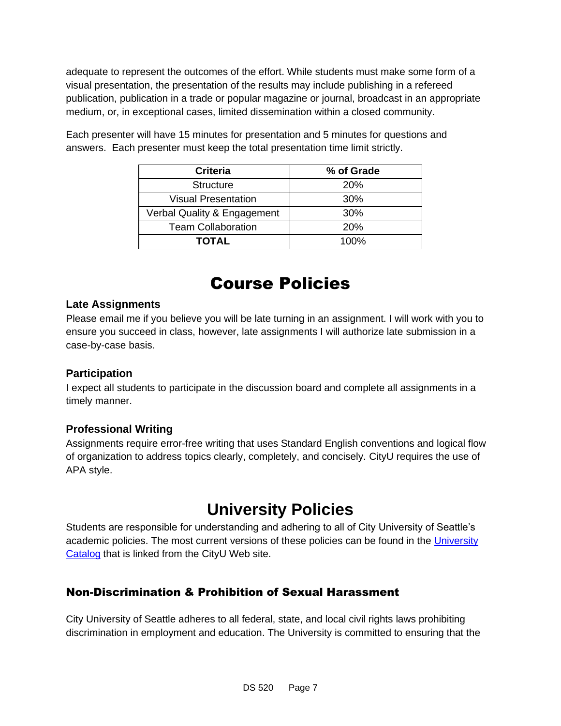adequate to represent the outcomes of the effort. While students must make some form of a visual presentation, the presentation of the results may include publishing in a refereed publication, publication in a trade or popular magazine or journal, broadcast in an appropriate medium, or, in exceptional cases, limited dissemination within a closed community.

| <b>Criteria</b>             | % of Grade |
|-----------------------------|------------|
| <b>Structure</b>            | 20%        |
| <b>Visual Presentation</b>  | 30%        |
| Verbal Quality & Engagement | 30%        |
| <b>Team Collaboration</b>   | 20%        |
| <b>TOTAL</b>                | $100\%$    |

Each presenter will have 15 minutes for presentation and 5 minutes for questions and answers. Each presenter must keep the total presentation time limit strictly.

# Course Policies

#### **Late Assignments**

Please email me if you believe you will be late turning in an assignment. I will work with you to ensure you succeed in class, however, late assignments I will authorize late submission in a case-by-case basis.

#### **Participation**

I expect all students to participate in the discussion board and complete all assignments in a timely manner.

#### **Professional Writing**

Assignments require error-free writing that uses Standard English conventions and logical flow of organization to address topics clearly, completely, and concisely. CityU requires the use of APA style.

# **University Policies**

Students are responsible for understanding and adhering to all of City University of Seattle's academic policies. The most current versions of these policies can be found in the [University](http://www.cityu.edu/catalog/)  [Catalog](http://www.cityu.edu/catalog/) that is linked from the CityU Web site.

### Non-Discrimination & Prohibition of Sexual Harassment

City University of Seattle adheres to all federal, state, and local civil rights laws prohibiting discrimination in employment and education. The University is committed to ensuring that the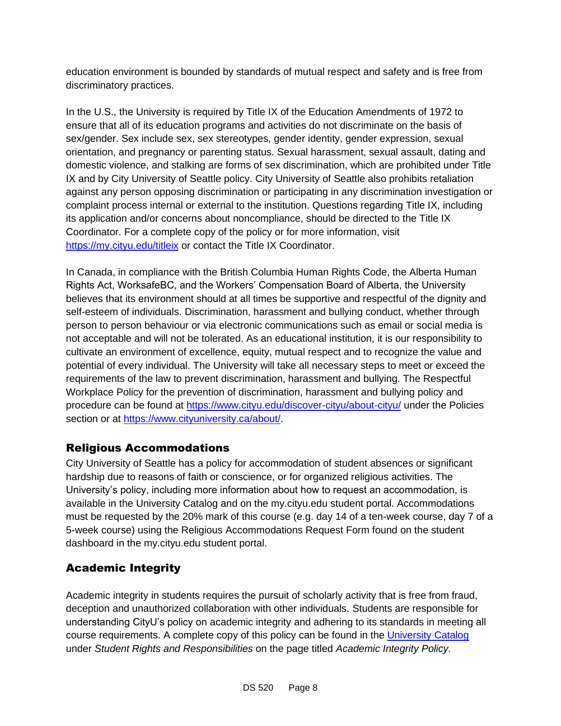education environment is bounded by standards of mutual respect and safety and is free from discriminatory practices.

In the U.S., the University is required by Title IX of the Education Amendments of 1972 to ensure that all of its education programs and activities do not discriminate on the basis of sex/gender. Sex include sex, sex stereotypes, gender identity, gender expression, sexual orientation, and pregnancy or parenting status. Sexual harassment, sexual assault, dating and domestic violence, and stalking are forms of sex discrimination, which are prohibited under Title IX and by City University of Seattle policy. City University of Seattle also prohibits retaliation against any person opposing discrimination or participating in any discrimination investigation or complaint process internal or external to the institution. Questions regarding Title IX, including its application and/or concerns about noncompliance, should be directed to the Title IX Coordinator. For a complete copy of the policy or for more information, visit <https://my.cityu.edu/titleix> or contact the Title IX Coordinator.

In Canada, in compliance with the British Columbia Human Rights Code, the Alberta Human Rights Act, WorksafeBC, and the Workers' Compensation Board of Alberta, the University believes that its environment should at all times be supportive and respectful of the dignity and self-esteem of individuals. Discrimination, harassment and bullying conduct, whether through person to person behaviour or via electronic communications such as email or social media is not acceptable and will not be tolerated. As an educational institution, it is our responsibility to cultivate an environment of excellence, equity, mutual respect and to recognize the value and potential of every individual. The University will take all necessary steps to meet or exceed the requirements of the law to prevent discrimination, harassment and bullying. The Respectful Workplace Policy for the prevention of discrimination, harassment and bullying policy and procedure can be found at<https://www.cityu.edu/discover-cityu/about-cityu/> under the Policies section or at [https://www.cityuniversity.ca/about/.](https://www.cityuniversity.ca/about/)

### Religious Accommodations

City University of Seattle has a policy for accommodation of student absences or significant hardship due to reasons of faith or conscience, or for organized religious activities. The University's policy, including more information about how to request an accommodation, is available in the University Catalog and on the my.cityu.edu student portal. Accommodations must be requested by the 20% mark of this course (e.g. day 14 of a ten-week course, day 7 of a 5-week course) using the Religious Accommodations Request Form found on the student dashboard in the my.cityu.edu student portal.

### Academic Integrity

Academic integrity in students requires the pursuit of scholarly activity that is free from fraud, deception and unauthorized collaboration with other individuals. Students are responsible for understanding CityU's policy on academic integrity and adhering to its standards in meeting all course requirements. A complete copy of this policy can be found in the [University Catalog](http://www.cityu.edu/catalog/) under *Student Rights and Responsibilities* on the page titled *Academic Integrity Policy.*